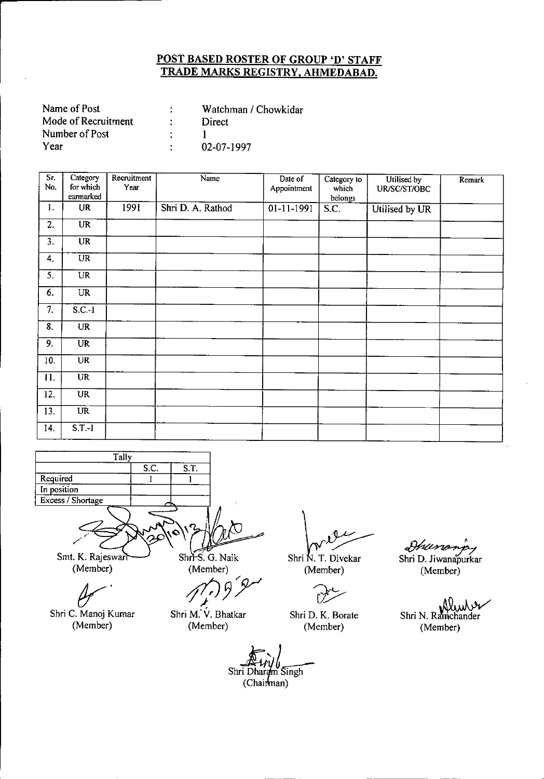| Name of Post        | Watchman / Chowkidar |
|---------------------|----------------------|
| Mode of Recruitment | Direct               |
| Number of Post      |                      |
| Year                | 02-07-1997           |

| Sr.<br>No. | Category<br>for which<br>earmarked | Recruitment<br>Year | Name              | Date of<br>Appointment   | Category to<br>which<br>belongs | Utilised by<br>UR/SC/ST/OBC | Remark |
|------------|------------------------------------|---------------------|-------------------|--------------------------|---------------------------------|-----------------------------|--------|
| 1.         | <b>UR</b>                          | 1991                | Shri D. A. Rathod | $\overline{01-11}$ -1991 | S.C.                            | Utilised by UR              |        |
| 2.         | UR                                 |                     |                   |                          |                                 |                             |        |
| 3.         | UR                                 |                     |                   |                          |                                 |                             |        |
| 4.         | $\overline{\text{UR}}$             |                     |                   |                          |                                 |                             |        |
| 5.         | $\overline{\text{UR}}$             |                     |                   |                          |                                 |                             |        |
| 6.         | UR                                 |                     |                   |                          |                                 |                             |        |
| 7.         | $S.C.-1$                           |                     |                   |                          | $\cdot$                         |                             |        |
| 8.         | <b>UR</b>                          |                     |                   |                          |                                 |                             |        |
| 9.         | UR                                 |                     |                   |                          |                                 |                             |        |
| 10.        | <b>UR</b>                          |                     |                   |                          |                                 |                             |        |
| 11.        | <b>UR</b>                          |                     |                   |                          |                                 |                             |        |
| 12.        | <b>UR</b>                          |                     |                   |                          |                                 |                             |        |
| 13.        | UR                                 |                     |                   |                          |                                 |                             |        |
| 14.        | $S.T.-1$                           |                     |                   |                          |                                 |                             |        |



(Member)

Ć

Shri C. Manoj Kumar (Member)

Shri N. T. Divekar (Member)

Shri D. K. Borate (Member)

Shri D. Jiwanapurkar (Member)

Shri N. Ramchander (Member)

Shri Dhardm Singh (Chairman)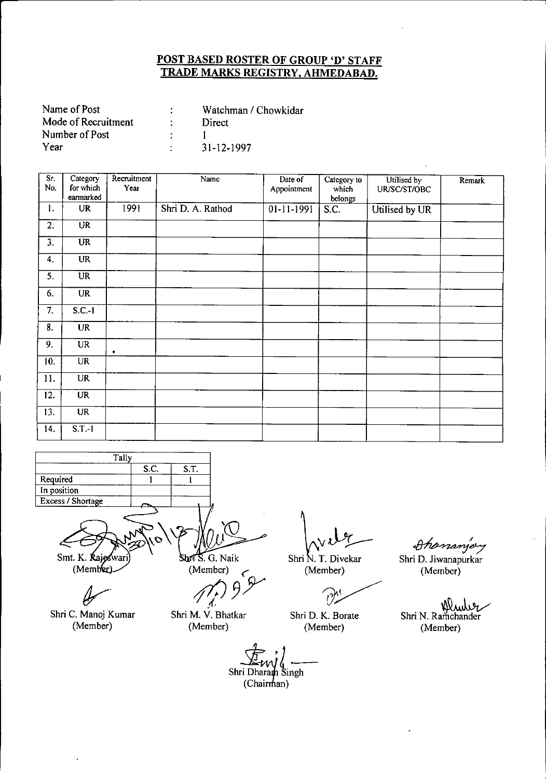| Name of Post        | Watchman / Chowkidar |
|---------------------|----------------------|
| Mode of Recruitment | Direct               |
| Number of Post      |                      |
| Year                | 31-12-1997           |

| Sr.<br>No.        | Category<br>for which<br>earmarked | Recruitment<br>Year | Name              | Date of<br>Appointment  | Category to<br>which<br>belongs | Utilised by<br>UR/SC/ST/OBC | Remark |
|-------------------|------------------------------------|---------------------|-------------------|-------------------------|---------------------------------|-----------------------------|--------|
| 1.                | UR                                 | 1991                | Shri D. A. Rathod | $\overline{01-11-1991}$ | $\overline{S.C.}$               | Utilised by UR              |        |
| $\overline{2}$ .  | $\overline{\text{UR}}$             |                     |                   |                         |                                 |                             |        |
| $\overline{3}$ .  | $\overline{\text{UR}}$             |                     |                   |                         |                                 |                             |        |
| 4.                | <b>UR</b>                          |                     |                   |                         |                                 |                             |        |
| $\overline{5}$ .  | $\overline{\text{UR}}$             |                     |                   |                         |                                 |                             |        |
| 6.                | UR                                 |                     |                   |                         |                                 |                             |        |
| 7.                | $S.C.-1$                           |                     |                   |                         |                                 |                             |        |
| 8.                | <b>UR</b>                          |                     |                   |                         |                                 |                             |        |
| 9.                | <b>UR</b>                          | ۰                   |                   |                         |                                 |                             |        |
| 10.               | <b>UR</b>                          |                     |                   |                         |                                 |                             |        |
| 11.               | <b>UR</b>                          |                     |                   |                         |                                 |                             |        |
| 12.               | $\overline{\text{UR}}$             |                     |                   |                         |                                 |                             |        |
| $\overline{13}$ . | <b>UR</b>                          |                     |                   |                         |                                 |                             |        |
| 14.               | $S.T.-1$                           |                     |                   |                         |                                 |                             |        |



Ч Shri C. Manoj Kumar (Member)

(Member) (

*f*<sub>*f*// 952</sub>

Shri N. T. Diveka  $v\downarrow$ 

(Member)

 $\partial^{\kappa}$ 

Shri D. K. Borate (Member)

Shananjey Shri D. Jiwanapurkar (Member)

Shri N. Ramchander (Member)

Shri Dharam Singh  $(Chairman)$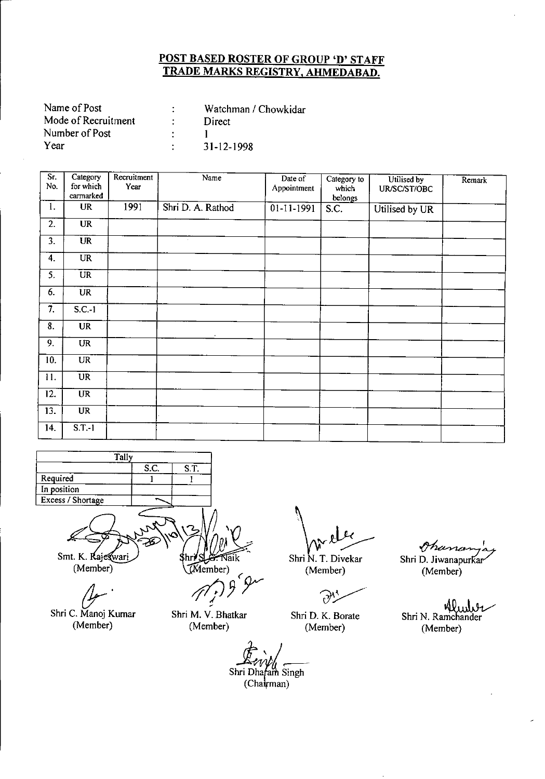| Name of Post        | Watchman / Chowkidar |
|---------------------|----------------------|
| Mode of Recruitment | Direct               |
| Number of Post      |                      |
| Year                | 31-12-1998           |

| Sr.<br>No.        | Category<br>for which<br>earmarked | Recruitment<br>Year | Name              | Date of<br>Appointment  | Category to<br>which<br>belongs | Utilised by<br>UR/SC/ST/OBC | Remark |
|-------------------|------------------------------------|---------------------|-------------------|-------------------------|---------------------------------|-----------------------------|--------|
| 1.                | <b>UR</b>                          | 1991                | Shri D. A. Rathod | $\overline{01-11-1991}$ | S.C.                            | Utilised by UR              |        |
| 2.                | <b>UR</b>                          |                     |                   |                         |                                 |                             |        |
| $\overline{3}$ .  | $\overline{\text{UR}}$             |                     | $\sim$            |                         |                                 |                             |        |
| 4.                | <b>UR</b>                          |                     |                   |                         |                                 |                             |        |
| 5.                | $\overline{UR}$                    |                     |                   |                         |                                 |                             |        |
| 6.                | <b>UR</b>                          |                     |                   |                         |                                 |                             |        |
| 7.                | $S.C.-1$                           |                     |                   |                         |                                 |                             |        |
| 8.                | <b>UR</b>                          |                     | $\cdot$           |                         |                                 |                             |        |
| 9.                | <b>UR</b>                          |                     |                   |                         |                                 |                             |        |
| $\overline{10}$ . | UR                                 |                     |                   |                         |                                 |                             |        |
| 11.               | $\overline{\text{UR}}$             |                     |                   |                         |                                 |                             |        |
| 12.               | $\overline{\text{UR}}$             |                     |                   |                         |                                 |                             |        |
| 13.               | $\overline{UR}$                    |                     |                   |                         |                                 |                             |        |
| 14.               | $S.T.-1$                           |                     |                   |                         |                                 |                             |        |



*(Jr'* Shri C. Manoj Kumar

(Member)

Shri N. T. Divekar Amelee<br>hri N. T. Divekar Shri D.

(Member)

 $\partial$ 

Shri D. K. Borate (Member)

Shri Dhafam Singh  $(Chakrman)$ 

~' Shri D. Jiwanapurkar (Member)

Klud Shri N. Ramchander (Member)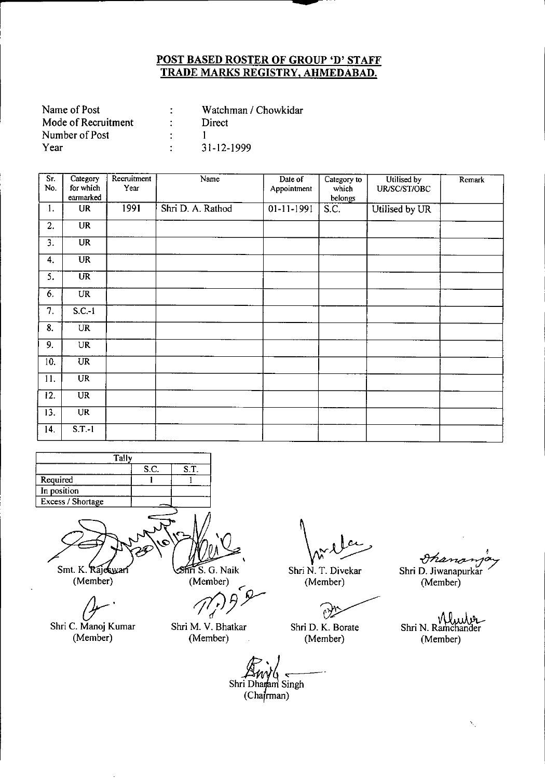| Name of Post        | Watchman / Chowkidar |
|---------------------|----------------------|
| Mode of Recruitment | Direct               |
| Number of Post      |                      |
| Year                | 31-12-1999           |

| $\overline{\mathsf{Sr}}$ .<br>No. | Category<br>for which<br>earmarked | Recruitment<br>Year | Name              | Date of<br>Appointment | Category to<br>which<br>belongs | Utilised by<br>UR/SC/ST/OBC | Remark |
|-----------------------------------|------------------------------------|---------------------|-------------------|------------------------|---------------------------------|-----------------------------|--------|
| 1.                                | <b>UR</b>                          | 1991                | Shri D. A. Rathod | 01-11-1991             | S.C.                            | Utilised by UR              |        |
| 2.                                | UR                                 |                     |                   |                        |                                 |                             |        |
| 3.                                | $\overline{\text{UR}}$             |                     |                   |                        |                                 |                             |        |
| 4.                                | <b>UR</b>                          |                     |                   |                        |                                 |                             |        |
| 5.                                | $\overline{\text{UR}}$             |                     |                   |                        |                                 |                             |        |
| 6.                                | <b>UR</b>                          |                     |                   |                        |                                 |                             |        |
| 7.                                | $S.C.-1$                           |                     |                   |                        |                                 |                             |        |
| 8.                                | <b>UR</b>                          |                     |                   |                        |                                 |                             |        |
| 9.                                | <b>UR</b>                          |                     |                   |                        |                                 |                             |        |
| 10.                               | $\overline{\text{UR}}$             |                     |                   |                        |                                 |                             |        |
| 11.                               | $\overline{UR}$                    |                     |                   |                        |                                 |                             |        |
| 12.                               | <b>UR</b>                          |                     |                   |                        |                                 |                             |        |
| 13.                               | <b>UR</b>                          |                     |                   |                        |                                 |                             |        |
| 14.                               | $S.T.-1$                           |                     |                   |                        |                                 |                             |        |



Smt. K. Rajeswar (Member)

Shri C. Manoj Kumar

(Member)

 $\overline{\text{max}}$  S. G. Naik (Member)

Shri N. T. Divekar  $(Member)$ 

0Ž

Shri D. K. Borate (Member)

Ohanan Shri D. Jiwanapurkar

(Member)

Shri N. Ramchander (Member)

Shri Dharam Singh

 $(Cha**f**man)$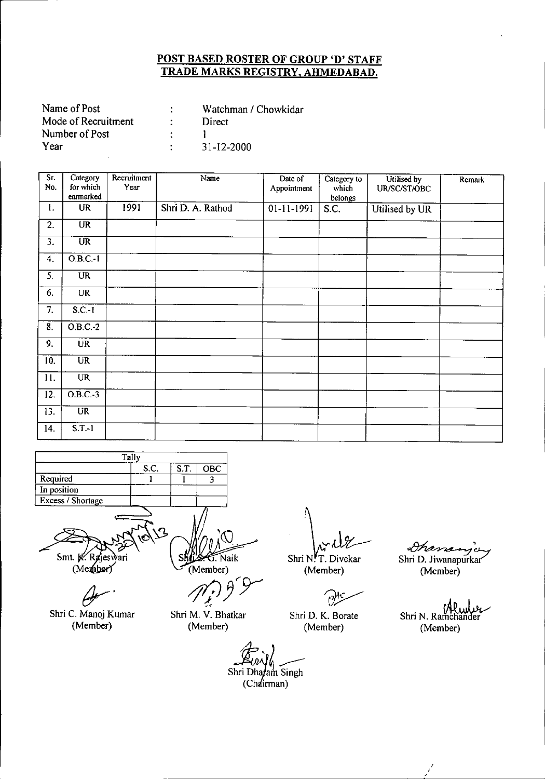| Name of Post        | Watchman / Chowkidar |
|---------------------|----------------------|
| Mode of Recruitment | Direct               |
| Number of Post      |                      |
| Year                | 31-12-2000           |

| Sr.<br>No.       | Category<br>for which<br>earmarked | Recruitment<br>Year | Name              | Date of<br>Appointment | Category to<br>which<br>belongs | Utilised by<br>UR/SC/ST/OBC | Remark |
|------------------|------------------------------------|---------------------|-------------------|------------------------|---------------------------------|-----------------------------|--------|
| 1.               | <b>UR</b>                          | 1991                | Shri D. A. Rathod | $01 - 11 - 1991$       | S.C.                            | Utilised by UR              |        |
| 2.               | <b>UR</b>                          |                     |                   |                        |                                 |                             |        |
| 3.               | $\overline{\text{UR}}$             |                     |                   |                        |                                 |                             |        |
| 4.               | $O.B.C.-1$                         |                     |                   |                        |                                 |                             |        |
| $\overline{5}$ . | UR                                 |                     |                   |                        |                                 |                             |        |
| 6.               | <b>UR</b>                          |                     |                   |                        |                                 |                             |        |
| 7.               | $S.C.-1$                           |                     |                   |                        |                                 |                             |        |
| $\overline{8}$ . | $O.B.C.-2$                         |                     |                   |                        |                                 |                             |        |
| 9.               | <b>UR</b>                          |                     |                   |                        |                                 |                             |        |
| 10.              | U <sub>R</sub>                     |                     |                   |                        |                                 |                             |        |
| 11.              | <b>UR</b>                          |                     |                   |                        |                                 |                             |        |
| 12.              | $O.B.C.-3$                         |                     |                   |                        |                                 |                             |        |
| 13.              | <b>UR</b>                          |                     |                   |                        |                                 |                             |        |
| 14.              | $S.T.-1$                           |                     |                   |                        |                                 |                             |        |



*fJr'*

Shri C. Manoj Kumar (Member)

(Member) */fI/J Jry--*

,< Shri M. V. Bhatkar

(Member)

 $\lim_{N \to \infty} \frac{1}{N}$ 

(Member)

moer)<br>*a*yls

Shri D. K. Borate (Member)

Shri D. Jiwanapurkar (Member)

rano

Shri N. Ramchander (Member)

(Chairman)  $\mathcal{L}_{\mathit{null}}$ Shri Dharam Singh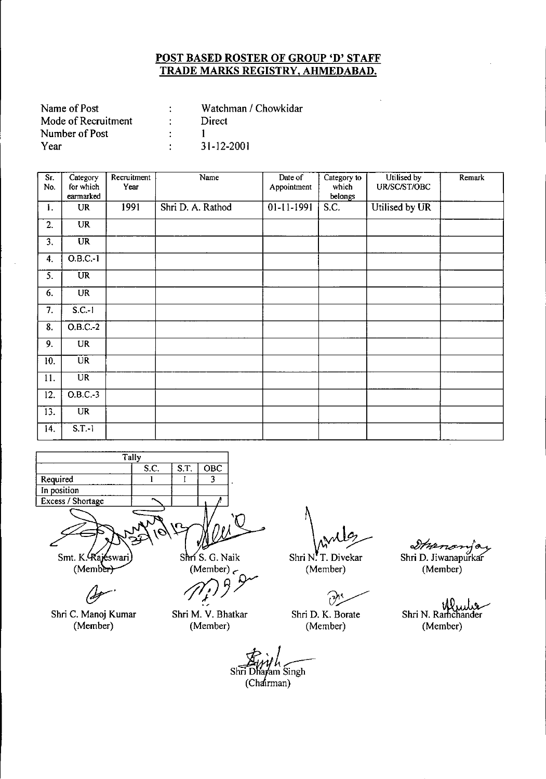| Watchman / Chowkidar |
|----------------------|
| Direct               |
|                      |
| 31-12-2001           |
|                      |

| Sr.<br>No.        | Category<br>for which  | Recruitment<br>Year | Name              | Date of<br>Appointment | Category to<br>which | Utilised by<br>UR/SC/ST/OBC | Remark |
|-------------------|------------------------|---------------------|-------------------|------------------------|----------------------|-----------------------------|--------|
|                   | earmarked              |                     |                   |                        | belongs              |                             |        |
| 1.                | <b>UR</b>              | 1991                | Shri D. A. Rathod | $01-11-1991$           | S.C.                 | Utilised by UR              |        |
| 2.                | <b>UR</b>              |                     |                   |                        |                      |                             |        |
| 3.                | $\overline{UR}$        |                     |                   |                        |                      |                             |        |
| 4.                | $0.B.C.-1$             |                     |                   |                        |                      |                             |        |
| 5.                | <b>UR</b>              |                     |                   |                        |                      |                             |        |
| 6.                | <b>UR</b>              |                     |                   |                        |                      |                             |        |
| 7.                | $S.C.-1$               |                     |                   |                        |                      |                             |        |
| 8.                | $O.B.C.-2$             |                     |                   |                        |                      |                             |        |
| 9.                | <b>UR</b>              |                     |                   |                        |                      |                             |        |
| 10.               | <b>UR</b>              |                     |                   |                        |                      |                             |        |
| 11.               | $\overline{\text{UR}}$ |                     |                   |                        |                      |                             |        |
| 12.               | $O.B.C.-3$             |                     |                   |                        |                      |                             |        |
| $\overline{13}$ . | <b>UR</b>              |                     |                   |                        |                      |                             |        |
| 14.               | $S.T.-1$               |                     |                   |                        |                      |                             |        |



 $(Memb<sub>er</sub>)$ 

Shri C. Manoj Kumar (Member)

Shri M. V. Bhatkar (Member)

 $\int_0^1$ <br> $\int_0^1$   $\int_0^1$   $\int_0^1$   $\int_0^1$   $\int_0^1$   $\int_0^1$   $\int_0^1$   $\int_0^1$   $\int_0^1$   $\int_0^1$   $\int_0^1$   $\int_0^1$   $\int_0^1$   $\int_0^1$   $\int_0^1$   $\int_0^1$   $\int_0^1$   $\int_0^1$   $\int_0^1$   $\int_0^1$   $\int_0^1$   $\int_0^1$   $\int_0^1$   $\int_0$ 

Shri N. T. Diveka (Member)

 $\partial$ .

Shri D. K. Borate (Member)

*Staarzeryo*<br>Shri D. Jiwanapurkar

(Member)

Shri N. Ramchander (Member)

 $\overline{C}$  Chairman) Shri<sup>D</sup> ayam Singh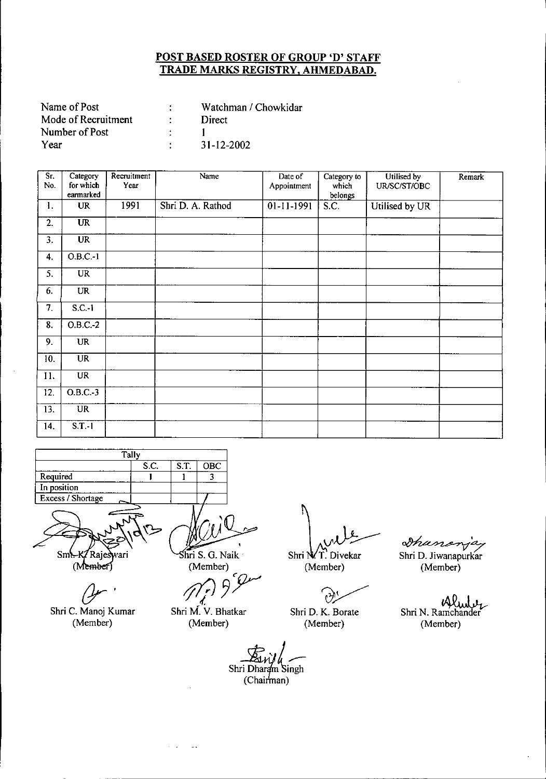| Name of Post        | Watchman / Chowkidar |
|---------------------|----------------------|
| Mode of Recruitment | Direct               |
| Number of Post      |                      |
| Year                | $31 - 12 - 2002$     |

| Sr.<br>No.                | Category<br>for which<br>earmarked | Recruitment<br>Year | Name              | Date of<br>Appointment | Category to<br>which<br>belongs | Utilised by<br>UR/SC/ST/OBC | Remark |
|---------------------------|------------------------------------|---------------------|-------------------|------------------------|---------------------------------|-----------------------------|--------|
| 1.                        | <b>UR</b>                          | 1991                | Shri D. A. Rathod | $01 - 11 - 1991$       | S.C.                            | Utilised by UR              |        |
| 2.                        | $\overline{UR}$                    |                     |                   |                        |                                 |                             |        |
| 3.                        | $\overline{\text{UR}}$             |                     |                   |                        |                                 |                             |        |
| 4.                        | $O.B.C.-1$                         |                     |                   |                        |                                 |                             |        |
| 5.                        | <b>UR</b>                          |                     |                   |                        |                                 |                             |        |
| 6.                        | <b>UR</b>                          |                     |                   |                        |                                 |                             |        |
| 7.                        | $S.C.-1$                           |                     |                   |                        |                                 |                             |        |
| $\overline{\mathbf{8}}$ . | $O.B.C.-2$                         |                     |                   |                        |                                 |                             |        |
| 9.                        | <b>UR</b>                          |                     |                   |                        |                                 |                             |        |
| 10.                       | $\overline{\text{UR}}$             |                     |                   |                        |                                 |                             |        |
| 11.                       | <b>UR</b>                          |                     |                   |                        |                                 |                             |        |
| 12.                       | $O.B.C.-3$                         |                     |                   |                        |                                 |                             |        |
| 13.                       | <b>UR</b>                          |                     |                   |                        |                                 |                             |        |
| 14.                       | $S.T.-1$                           |                     |                   |                        |                                 |                             |        |

| Tally             |      |      |     |  |  |  |  |
|-------------------|------|------|-----|--|--|--|--|
|                   | S.C. | S.T. | OBC |  |  |  |  |
| Required          |      |      |     |  |  |  |  |
| In position       |      |      |     |  |  |  |  |
| Excess / Shortage |      |      |     |  |  |  |  |

Sm. K/Rajeswari

 $(Member)$ 

*(Jr'*

Shri C. Manoj Kumar (Member)

hri S. G. Naik . (Member)

*(Member)*<br> *1*<br> *Shri M. V. Bhatkar* 

(Member)

Shri N/T. Divekar (Member)

 $\partial$ 

Shri D. K. Borate (Member)

Shanon Shri D. Jiwanapurkar (Member)

Alude Shri N. Ramchander (Member)

Shri Dharam Singh (Chairman)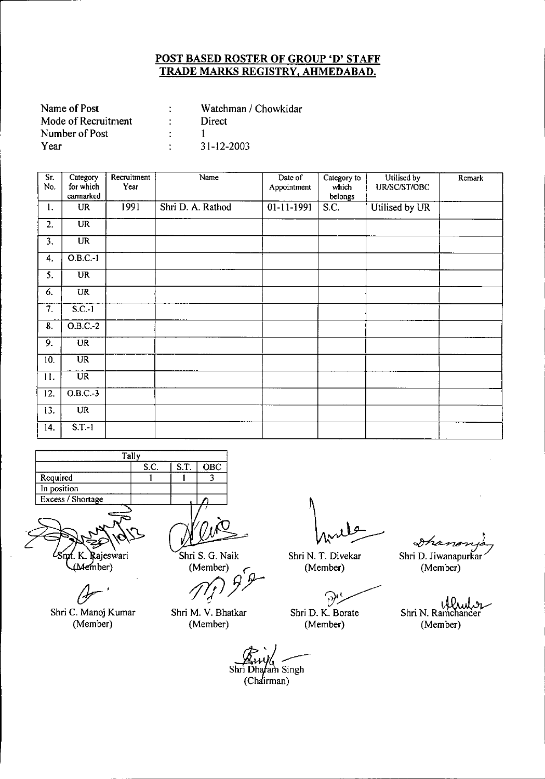| Name of Post        | Watchman / Chowkidar |
|---------------------|----------------------|
| Mode of Recruitment | Direct               |
| Number of Post      |                      |
| Year                | 31-12-2003           |

| Sr.<br>No.       | Category<br>for which<br>earmarked | Recruitment<br>Year | Name              | Date of<br>Appointment | Category to<br>which<br>belongs | Utilised by<br>UR/SC/ST/OBC | Remark |
|------------------|------------------------------------|---------------------|-------------------|------------------------|---------------------------------|-----------------------------|--------|
| 1.               | <b>UR</b>                          | 1991                | Shri D. A. Rathod | 01-11-1991             | S.C.                            | Utilised by UR              |        |
| 2.               | $\overline{\text{UR}}$             |                     |                   |                        |                                 |                             |        |
| 3.               | $\overline{\text{UR}}$             |                     |                   |                        |                                 |                             |        |
| 4.               | $O.B.C.-I$                         |                     |                   |                        |                                 |                             |        |
| $\overline{5}$ . | $\overline{\text{UR}}$             |                     |                   |                        |                                 |                             |        |
| 6.               | UR                                 |                     |                   |                        |                                 |                             |        |
| 7.               | $S.C.-1$                           |                     |                   |                        |                                 |                             |        |
| 8.               | $O.B.C.-2$                         |                     |                   |                        |                                 |                             |        |
| 9.               | <b>UR</b>                          |                     |                   |                        |                                 |                             |        |
| 10.              | <b>UR</b>                          |                     |                   |                        |                                 |                             |        |
| 11.              | <b>UR</b>                          |                     |                   |                        |                                 |                             |        |
| 12.              | $O.B.C.-3$                         |                     |                   |                        |                                 |                             |        |
| 13.              | <b>UR</b>                          |                     |                   |                        |                                 |                             |        |
| 14.              | $S.T.-1$                           |                     |                   |                        |                                 |                             |        |

| Tall <sub>y</sub> |      |      |            |  |  |  |
|-------------------|------|------|------------|--|--|--|
|                   | S.C. | S.T. | <b>OBC</b> |  |  |  |
| Required          |      |      |            |  |  |  |
| In position       |      |      |            |  |  |  |
| Excess / Shortage |      |      |            |  |  |  |
|                   |      |      |            |  |  |  |

f. K. Rajeswari<br>(Member)

Shri C. Manoj Kumar (Member)

Shri S. G. Naik (Member) ,

*ftPJr*

Shri M. V. Bhatkar (Member)

Shri N. T. Divekar (Member)

?~ Shri D. K. Borate

(Member)

*Dhanonya*<br>Shri D. Jiwanapurkar

(Member)

. \,dO •.• I .••.•~ Shri N. Ramchander (Member)

Shri<br>Shri Dhafam Singh<br>(Chairman) i Dhafam Singh<br>(Chairman)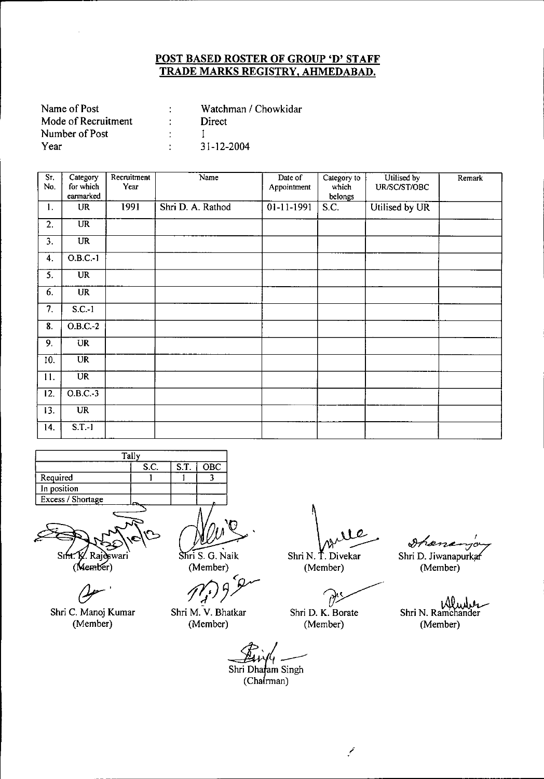| Name of Post        | Watchman / Chowkidar |
|---------------------|----------------------|
| Mode of Recruitment | Direct               |
| Number of Post      |                      |
| Year                | 31-12-2004           |

| Sr.<br>No.        | Category<br>for which<br>earmarked       | Recruitment<br>Year | Name              | Date of<br>Appointment | Category to<br>which<br>belongs | Utilised by<br>UR/SC/ST/OBC | Remark |
|-------------------|------------------------------------------|---------------------|-------------------|------------------------|---------------------------------|-----------------------------|--------|
| 1.                | <b>UR</b>                                | 1991                | Shri D. A. Rathod | 01-11-1991             | S.C.                            | Utilised by UR              |        |
| 2.                | $\overline{\text{UR}}$                   |                     |                   |                        |                                 |                             |        |
| 3.                | $\overline{\text{UR}}$                   |                     |                   |                        |                                 |                             |        |
| 4.                | $O.B.C.-1$                               |                     |                   |                        |                                 |                             |        |
| 5.                | <b>UR</b>                                |                     |                   |                        |                                 |                             |        |
| 6.                | <b>UR</b>                                |                     |                   |                        |                                 |                             |        |
| 7.                | $S.C.-1$                                 |                     |                   |                        |                                 |                             |        |
| 8.                | $O.B.C.-2$                               |                     |                   |                        |                                 |                             |        |
| 9.                | <b>UR</b>                                |                     |                   |                        |                                 |                             |        |
| 10.               | $\overline{\text{U}}\overline{\text{R}}$ |                     |                   |                        |                                 |                             |        |
| 11.               | $\overline{\text{UR}}$                   |                     |                   |                        |                                 |                             |        |
| $\overline{12}$ . | $O.B.C.-3$                               |                     |                   |                        |                                 |                             |        |
| 13.               | $\overline{\text{UR}}$                   |                     |                   |                        |                                 |                             |        |
| 14.               | $S.T.-1$                                 |                     |                   |                        |                                 |                             |        |

|                   | Tally |      |     |
|-------------------|-------|------|-----|
|                   | S.C.  | S.T. | OBC |
| Required          |       |      |     |
| In position       |       |      |     |
| Excess / Shortage |       |      |     |
|                   |       |      |     |



*(Jr'*

Shri C. Manoj Kumar (Member)

~.

Shri S. G. Naik

(Member)<br>*fl<sub>j</sub>*<sup>5</sup>*J* ('

Shri M. V. Bhatkar (Member)

rle

Shri N. T. Divekar (Member)

?~ Shri D. K. Borate

(Member)

*~I* Shri D. Jiwanapurkaf

(Member)

Mende Shri N. Ramchander (Member)

Shri Dharam Singh<br>(Chairman)